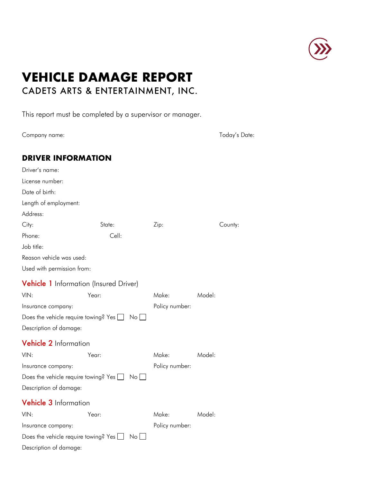

# **VEHICLE DAMAGE REPORT** CADETS ARTS & ENTERTAINMENT, INC.

This report must be completed by a supervisor or manager.

Company name:

| Today's Date: |  |
|---------------|--|
|---------------|--|

|  |  | <b>DRIVER INFORMATION</b> |  |
|--|--|---------------------------|--|
|  |  |                           |  |

| Driver's name:                                                  |                                                              |                |         |  |  |  |
|-----------------------------------------------------------------|--------------------------------------------------------------|----------------|---------|--|--|--|
| License number:                                                 |                                                              |                |         |  |  |  |
| Date of birth:                                                  |                                                              |                |         |  |  |  |
| Length of employment:                                           |                                                              |                |         |  |  |  |
| Address:                                                        |                                                              |                |         |  |  |  |
| City:                                                           | State:                                                       | Zip:           | County: |  |  |  |
| Phone:                                                          | Cell:                                                        |                |         |  |  |  |
| Job title:                                                      |                                                              |                |         |  |  |  |
| Reason vehicle was used:                                        |                                                              |                |         |  |  |  |
| Used with permission from:                                      |                                                              |                |         |  |  |  |
| <b>Vehicle 1</b> Information (Insured Driver)                   |                                                              |                |         |  |  |  |
| VIN:                                                            | Year:                                                        | Make:          | Model:  |  |  |  |
| Insurance company:                                              |                                                              | Policy number: |         |  |  |  |
| Does the vehicle require towing? Yes $\Box$<br>$No$ $\Box$      |                                                              |                |         |  |  |  |
| Description of damage:                                          |                                                              |                |         |  |  |  |
| <b>Vehicle 2</b> Information                                    |                                                              |                |         |  |  |  |
| VIN:                                                            | Year:                                                        | Make:          | Model:  |  |  |  |
| Insurance company:                                              |                                                              | Policy number: |         |  |  |  |
| Does the vehicle require towing? Yes  <br>$No$   $\blacksquare$ |                                                              |                |         |  |  |  |
| Description of damage:                                          |                                                              |                |         |  |  |  |
| <b>Vehicle 3</b> Information                                    |                                                              |                |         |  |  |  |
| VIN·                                                            | Year:                                                        | Make:          | Model:  |  |  |  |
| Insurance company:                                              |                                                              | Policy number: |         |  |  |  |
|                                                                 | Does the vehicle require towing? Yes [<br>$\mathsf{No} \,  $ |                |         |  |  |  |
| Description of damage:                                          |                                                              |                |         |  |  |  |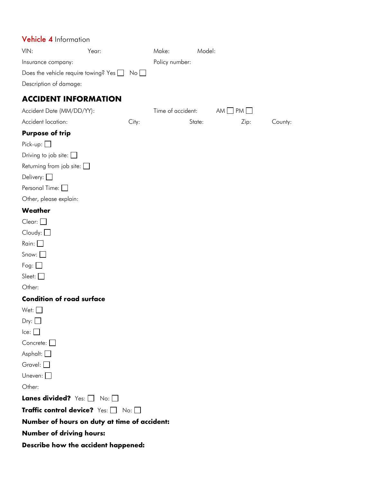| Vehicle 4 Information                       |              |             |                   |        |           |      |         |
|---------------------------------------------|--------------|-------------|-------------------|--------|-----------|------|---------|
| VIN:                                        | Year:        |             | Make:             | Model: |           |      |         |
| Insurance company:                          |              |             | Policy number:    |        |           |      |         |
| Does the vehicle require towing? Yes $\Box$ |              | $No$ $\Box$ |                   |        |           |      |         |
| Description of damage:                      |              |             |                   |        |           |      |         |
| <b>ACCIDENT INFORMATION</b>                 |              |             |                   |        |           |      |         |
| Accident Date (MM/DD/YY):                   |              |             | Time of accident: |        | $AM$ $PM$ |      |         |
| Accident location:                          |              | City:       |                   | State: |           | Zip: | County: |
| <b>Purpose of trip</b>                      |              |             |                   |        |           |      |         |
| $Pick-up:$                                  |              |             |                   |        |           |      |         |
| Driving to job site: $\Box$                 |              |             |                   |        |           |      |         |
| Returning from job site: $\square$          |              |             |                   |        |           |      |         |
| Delivery: $\Box$                            |              |             |                   |        |           |      |         |
| Personal Time:                              |              |             |                   |        |           |      |         |
| Other, please explain:                      |              |             |                   |        |           |      |         |
| Weather                                     |              |             |                   |        |           |      |         |
| Clear:                                      |              |             |                   |        |           |      |         |
| $C$ loudy: $\Box$                           |              |             |                   |        |           |      |         |
| Rain: $\Box$                                |              |             |                   |        |           |      |         |
| Snow: $\Box$                                |              |             |                   |        |           |      |         |
| Fog: $\Box$                                 |              |             |                   |        |           |      |         |
| Sleet: $\square$                            |              |             |                   |        |           |      |         |
| Other:                                      |              |             |                   |        |           |      |         |
| <b>Condition of road surface</b>            |              |             |                   |        |           |      |         |
| Wet: $\Box$                                 |              |             |                   |        |           |      |         |
| Dry:                                        |              |             |                   |        |           |      |         |
| lce:                                        |              |             |                   |        |           |      |         |
| Concrete:                                   |              |             |                   |        |           |      |         |
| Asphalt: $\Box$                             |              |             |                   |        |           |      |         |
| Gravel: $\Box$                              |              |             |                   |        |           |      |         |
| Uneven: $\Box$                              |              |             |                   |        |           |      |         |
| Other:                                      |              |             |                   |        |           |      |         |
| Lanes divided? Yes: [                       | $No:$ $\Box$ |             |                   |        |           |      |         |
| Traffic control device? Yes: [              |              | No: $\Box$  |                   |        |           |      |         |

**Number of hours on duty at time of accident:**

**Number of driving hours:**

**Describe how the accident happened:**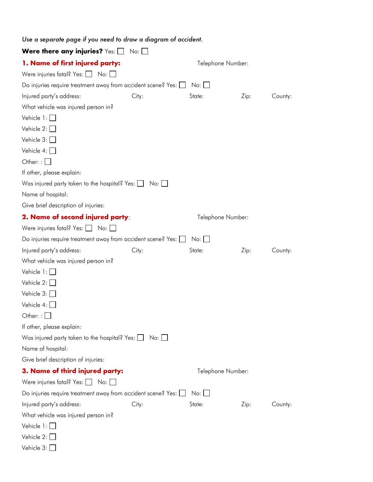| Use a separate page if you need to draw a diagram of accident.      |                   |                       |                   |         |  |
|---------------------------------------------------------------------|-------------------|-----------------------|-------------------|---------|--|
| Were there any injuries? Yes: $\square$                             | No:               |                       |                   |         |  |
| 1. Name of first injured party:                                     | Telephone Number: |                       |                   |         |  |
| Were injuries fatal? Yes: $\Box$ No: $\Box$                         |                   |                       |                   |         |  |
| Do injuries require treatment away from accident scene? Yes:        |                   | No:                   |                   |         |  |
| Injured party's address:                                            | City:             | State:                | Zip:              | County: |  |
| What vehicle was injured person in?                                 |                   |                       |                   |         |  |
| Vehicle $1:$                                                        |                   |                       |                   |         |  |
| Vehicle $2:$                                                        |                   |                       |                   |         |  |
| Vehicle $3:$                                                        |                   |                       |                   |         |  |
| Vehicle $4:$                                                        |                   |                       |                   |         |  |
| Other: : $\Box$                                                     |                   |                       |                   |         |  |
| If other, please explain:                                           |                   |                       |                   |         |  |
| Was injured party taken to the hospital? Yes: $\Box$ No: $\Box$     |                   |                       |                   |         |  |
| Name of hospital:                                                   |                   |                       |                   |         |  |
| Give brief description of injuries:                                 |                   |                       |                   |         |  |
| 2. Name of second injured party:                                    |                   |                       | Telephone Number: |         |  |
| Were injuries fatal? Yes: $\Box$ No: $\Box$                         |                   |                       |                   |         |  |
| Do injuries require treatment away from accident scene? Yes: $\Box$ |                   | $No: \Box$            |                   |         |  |
| Injured party's address:                                            | City:             | State:                | Zip:              | County: |  |
| What vehicle was injured person in?                                 |                   |                       |                   |         |  |
| Vehicle $1:$                                                        |                   |                       |                   |         |  |
| Vehicle $2: \Box$                                                   |                   |                       |                   |         |  |
| Vehicle $3:$                                                        |                   |                       |                   |         |  |
| Vehicle $4:$ $\Box$                                                 |                   |                       |                   |         |  |
| Other:                                                              |                   |                       |                   |         |  |
| If other, please explain:                                           |                   |                       |                   |         |  |
| Was injured party taken to the hospital? Yes: $\Box$ No: $\Box$     |                   |                       |                   |         |  |
| Name of hospital:                                                   |                   |                       |                   |         |  |
| Give brief description of injuries:                                 |                   |                       |                   |         |  |
| 3. Name of third injured party:                                     |                   | Telephone Number:     |                   |         |  |
| Were injuries fatal? Yes: $\Box$ No: $\Box$                         |                   |                       |                   |         |  |
| Do injuries require treatment away from accident scene? Yes: [      |                   | $No:$ $\vert$ $\vert$ |                   |         |  |
| Injured party's address:                                            | City:             | State:                | Zip:              | County: |  |
| What vehicle was injured person in?                                 |                   |                       |                   |         |  |
| Vehicle $1: \Box$                                                   |                   |                       |                   |         |  |
| Vehicle $2: \Box$                                                   |                   |                       |                   |         |  |
| Vehicle $3:$                                                        |                   |                       |                   |         |  |